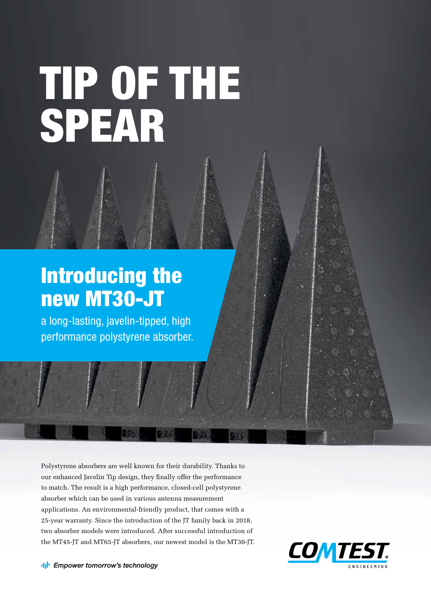TIP OF THE SPEAR

# Introducing the new MT30-JT

a long-lasting, javelin-tipped, high performance polystyrene absorber.

Polystyrene absorbers are well known for their durability. Thanks to our enhanced Javelin Tip design, they finally offer the performance to match. The result is a high performance, closed-cell polystyrene absorber which can be used in various antenna measurement applications. An environmental-friendly product, that comes with a 25-year warranty. Since the introduction of the JT family back in 2018, two absorber models were introduced. After successful introduction of the MT45-JT and MT65-JT absorbers, our newest model is the MT30-JT.

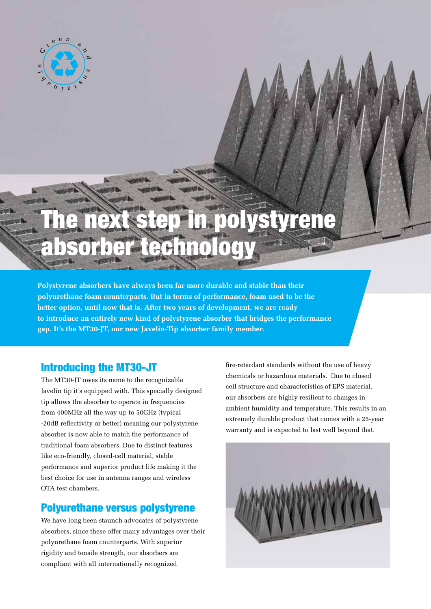

# The next step in polystyrene absorber technology

**Polystyrene absorbers have always been far more durable and stable than their polyurethane foam counterparts. But in terms of performance, foam used to be the better option, until now that is. After two years of development, we are ready to introduce an entirely new kind of polystyrene absorber that bridges the performance gap. It's the MT30-JT, our new Javelin-Tip absorber family member.**

#### Introducing the MT30-JT

The MT30-JT owes its name to the recognizable Javelin tip it's equipped with. This specially designed tip allows the absorber to operate in frequencies from 400MHz all the way up to 50GHz (typical -20dB reflectivity or better) meaning our polystyrene absorber is now able to match the performance of traditional foam absorbers. Due to distinct features like eco-friendly, closed-cell material, stable performance and superior product life making it the best choice for use in antenna ranges and wireless OTA test chambers.

#### Polyurethane versus polystyrene

We have long been staunch advocates of polystyrene absorbers, since these offer many advantages over their polyurethane foam counterparts. With superior rigidity and tensile strength, our absorbers are compliant with all internationally recognized

fire-retardant standards without the use of heavy chemicals or hazardous materials. Due to closed cell structure and characteristics of EPS material, our absorbers are highly resilient to changes in ambient humidity and temperature. This results in an extremely durable product that comes with a 25-year warranty and is expected to last well beyond that.

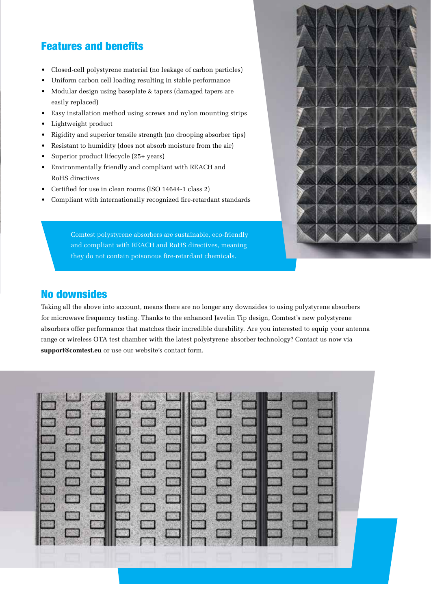## Features and benefits

- Closed-cell polystyrene material (no leakage of carbon particles)
- Uniform carbon cell loading resulting in stable performance
- Modular design using baseplate & tapers (damaged tapers are easily replaced)
- Easy installation method using screws and nylon mounting strips
- Lightweight product
- Rigidity and superior tensile strength (no drooping absorber tips)
- Resistant to humidity (does not absorb moisture from the air)
- Superior product lifecycle (25+ years)
- Environmentally friendly and compliant with REACH and RoHS directives
- Certified for use in clean rooms (ISO 14644-1 class 2)
- Compliant with internationally recognized fire-retardant standards

Comtest polystyrene absorbers are sustainable, eco-friendly and compliant with REACH and RoHS directives, meaning they do not contain poisonous fire-retardant chemicals.



#### No downsides

Taking all the above into account, means there are no longer any downsides to using polystyrene absorbers for microwave frequency testing. Thanks to the enhanced Javelin Tip design, Comtest's new polystyrene absorbers offer performance that matches their incredible durability. Are you interested to equip your antenna range or wireless OTA test chamber with the latest polystyrene absorber technology? Contact us now via **support@comtest.eu** or use our website's contact form.